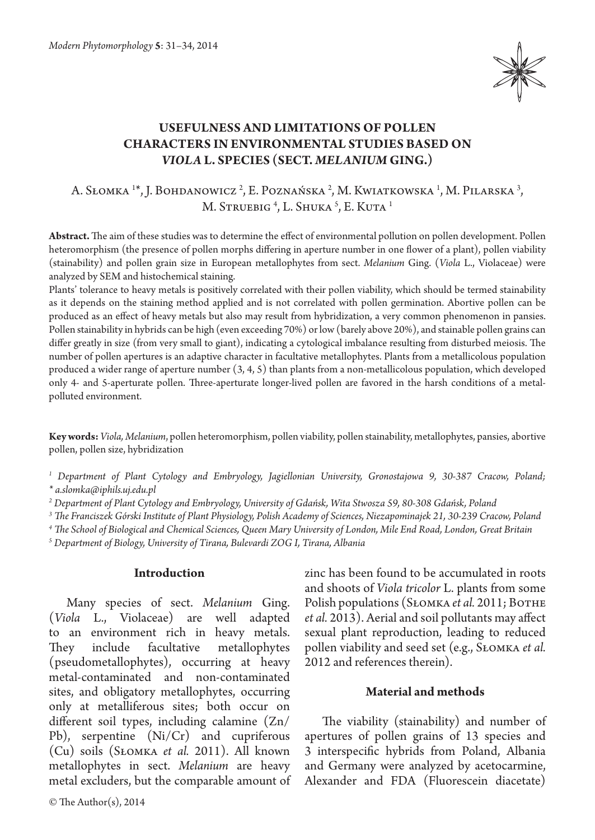

# **USEFULNESS AND LIMITATIONS OF POLLEN CHARACTERS IN ENVIRONMENTAL STUDIES BASED ON**  *VIOLA* **L. SPECIES (SECT.** *MELANIUM* **GING.)**

# A. Słomka <sup>1</sup>\*, J. Bohdanowicz <sup>2</sup>, E. Poznańska <sup>2</sup>, M. Kwiatkowska <sup>1</sup>, M. Pilarska <sup>3</sup>, M. Struebig <sup>4</sup>, L. Shuka <sup>5</sup>, E. Kuta <sup>1</sup>

**Abstract.** The aim of these studies was to determine the effect of environmental pollution on pollen development. Pollen heteromorphism (the presence of pollen morphs differing in aperture number in one flower of a plant), pollen viability (stainability) and pollen grain size in European metallophytes from sect. *Melanium* Ging. (*Viola* L., Violaceae) were analyzed by SEM and histochemical staining.

Plants' tolerance to heavy metals is positively correlated with their pollen viability, which should be termed stainability as it depends on the staining method applied and is not correlated with pollen germination. Abortive pollen can be produced as an effect of heavy metals but also may result from hybridization, a very common phenomenon in pansies. Pollen stainability in hybrids can be high (even exceeding 70%) or low (barely above 20%), and stainable pollen grains can differ greatly in size (from very small to giant), indicating a cytological imbalance resulting from disturbed meiosis. The number of pollen apertures is an adaptive character in facultative metallophytes. Plants from a metallicolous population produced a wider range of aperture number (3, 4, 5) than plants from a non-metallicolous population, which developed only 4- and 5-aperturate pollen. Three-aperturate longer-lived pollen are favored in the harsh conditions of a metalpolluted environment.

**Key words:** *Viola, Melanium*, pollen heteromorphism, pollen viability, pollen stainability, metallophytes, pansies, abortive pollen, pollen size, hybridization

*1 Department of Plant Cytology and Embryology, Jagiellonian University, Gronostajowa 9, 30-387 Cracow, Poland; \* a.slomka@iphils.uj.edu.pl*

*2 Department of Plant Cytology and Embryology, University of Gdańsk, Wita Stwosza 59, 80-308 Gdańsk, Poland*

*3 The Franciszek Górski Institute of Plant Physiology, Polish Academy of Sciences, Niezapominajek 21, 30-239 Cracow, Poland*

*4 The School of Biological and Chemical Sciences, Queen Mary University of London, Mile End Road, London, Great Britain*

*5 Department of Biology, University of Tirana, Bulevardi ZOG I, Tirana, Albania*

#### **Introduction**

Many species of sect. *Melanium* Ging. (*Viola* L., Violaceae) are well adapted to an environment rich in heavy metals. They include facultative metallophytes (pseudometallophytes), occurring at heavy metal-contaminated and non-contaminated sites, and obligatory metallophytes, occurring only at metalliferous sites; both occur on different soil types, including calamine (Zn/ Pb), serpentine (Ni/Cr) and cupriferous (Cu) soils (Słomka *et al.* 2011). All known metallophytes in sect. *Melanium* are heavy metal excluders, but the comparable amount of

© The Author(s), 2014

zinc has been found to be accumulated in roots and shoots of *Viola tricolor* L. plants from some Polish populations (SŁOMKA *et al.* 2011; BOTHE *et al.* 2013). Aerial and soil pollutants may affect sexual plant reproduction, leading to reduced pollen viability and seed set (e.g., Słomka *et al.*  2012 and references therein).

### **Material and methods**

The viability (stainability) and number of apertures of pollen grains of 13 species and 3 interspecific hybrids from Poland, Albania and Germany were analyzed by acetocarmine, Alexander and FDA (Fluorescein diacetate)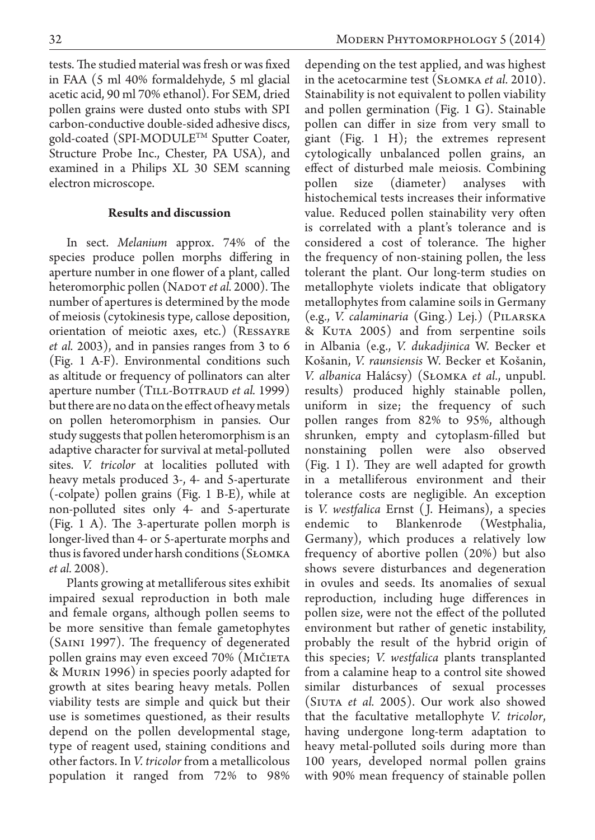tests. The studied material was fresh or was fixed in FAA (5 ml 40% formaldehyde, 5 ml glacial acetic acid, 90 ml 70% ethanol). For SEM, dried pollen grains were dusted onto stubs with SPI carbon-conductive double-sided adhesive discs, gold-coated (SPI-MODULE™ Sputter Coater, Structure Probe Inc., Chester, PA USA), and examined in a Philips XL 30 SEM scanning electron microscope.

#### **Results and discussion**

In sect. *Melanium* approx. 74% of the species produce pollen morphs differing in aperture number in one flower of a plant, called heteromorphic pollen (NADOT *et al.* 2000). The number of apertures is determined by the mode of meiosis (cytokinesis type, callose deposition, orientation of meiotic axes, etc.) (Ressayre *et al.* 2003), and in pansies ranges from 3 to 6 (Fig. 1 A-F). Environmental conditions such as altitude or frequency of pollinators can alter aperture number (TILL-BOTTRAUD *et al.* 1999) but there are no data on the effect of heavy metals on pollen heteromorphism in pansies. Our study suggests that pollen heteromorphism is an adaptive character for survival at metal-polluted sites. *V. tricolor* at localities polluted with heavy metals produced 3-, 4- and 5-aperturate (-colpate) pollen grains (Fig. 1 B-E), while at non-polluted sites only 4- and 5-aperturate (Fig. 1 A). The 3-aperturate pollen morph is longer-lived than 4- or 5-aperturate morphs and thus is favored under harsh conditions (Słomka *et al.* 2008).

Plants growing at metalliferous sites exhibit impaired sexual reproduction in both male and female organs, although pollen seems to be more sensitive than female gametophytes (SAINI 1997). The frequency of degenerated pollen grains may even exceed 70% (MIČIETA & Murin 1996) in species poorly adapted for growth at sites bearing heavy metals. Pollen viability tests are simple and quick but their use is sometimes questioned, as their results depend on the pollen developmental stage, type of reagent used, staining conditions and other factors. In *V. tricolor* from a metallicolous population it ranged from 72% to 98%

depending on the test applied, and was highest in the acetocarmine test (Słomka *et al.* 2010). Stainability is not equivalent to pollen viability and pollen germination (Fig. 1 G). Stainable pollen can differ in size from very small to giant (Fig. 1 H); the extremes represent cytologically unbalanced pollen grains, an effect of disturbed male meiosis. Combining pollen size (diameter) analyses with histochemical tests increases their informative value. Reduced pollen stainability very often is correlated with a plant's tolerance and is considered a cost of tolerance. The higher the frequency of non-staining pollen, the less tolerant the plant. Our long-term studies on metallophyte violets indicate that obligatory metallophytes from calamine soils in Germany (e.g., *V. calaminaria* (Ging.) Lej.) (Pilarska & Kuta 2005) and from serpentine soils in Albania (e.g., *V. dukadjinica* W. Becker et Košanin, *V. raunsiensis* W. Becker et Košanin, *V. albanica* Halácsy) (Słomka *et al.*, unpubl. results) produced highly stainable pollen, uniform in size; the frequency of such pollen ranges from 82% to 95%, although shrunken, empty and cytoplasm-filled but nonstaining pollen were also observed (Fig. 1 I). They are well adapted for growth in a metalliferous environment and their tolerance costs are negligible. An exception is *V. westfalica* Ernst ( J. Heimans), a species endemic to Blankenrode (Westphalia, Germany), which produces a relatively low frequency of abortive pollen (20%) but also shows severe disturbances and degeneration in ovules and seeds. Its anomalies of sexual reproduction, including huge differences in pollen size, were not the effect of the polluted environment but rather of genetic instability, probably the result of the hybrid origin of this species; *V. westfalica* plants transplanted from a calamine heap to a control site showed similar disturbances of sexual processes (Siuta *et al.* 2005). Our work also showed that the facultative metallophyte *V. tricolor*, having undergone long-term adaptation to heavy metal-polluted soils during more than 100 years, developed normal pollen grains with 90% mean frequency of stainable pollen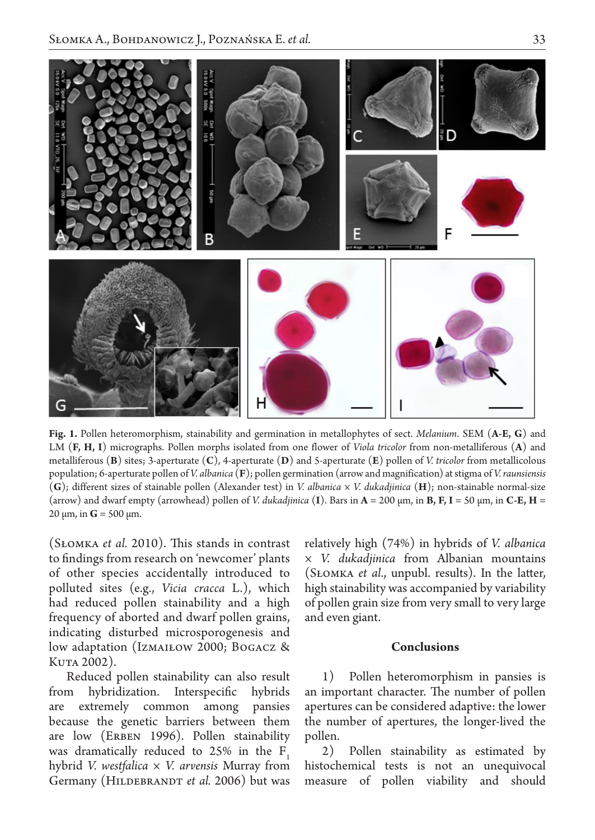

**Fig. 1.** Pollen heteromorphism, stainability and germination in metallophytes of sect. *Melanium*. SEM (**A-E, G**) and LM (**F, H, I**) micrographs. Pollen morphs isolated from one flower of *Viola tricolor* from non-metalliferous (**A**) and metalliferous (**B**) sites; 3-aperturate (**C**), 4-aperturate (**D**) and 5-aperturate (**E**) pollen of *V. tricolor* from metallicolous population; 6-aperturate pollen of *V. albanica* (**F**); pollen germination (arrow and magnification) at stigma of *V. raunsiensis* (**G**); different sizes of stainable pollen (Alexander test) in *V. albanica × V. dukadjinica* (**H**); non-stainable normal-size (arrow) and dwarf empty (arrowhead) pollen of *V. dukadjinica* (**I**). Bars in **A** = 200 µm, in **B, F, I** = 50 µm, in **C-E, H** = 20 μm, in **G** = 500 μm.

(Słomka *et al.* 2010). This stands in contrast to findings from research on 'newcomer' plants of other species accidentally introduced to polluted sites (e.g., *Vicia cracca*  L.), which had reduced pollen stainability and a high frequency of aborted and dwarf pollen grains, indicating disturbed microsporogenesis and low adaptation (IzmaiŁow 2000; Bogacz & KUTA 2002).

Reduced pollen stainability can also result from hybridization. Interspecific hybrids are extremely common among pansies because the genetic barriers between them are low (ERBEN 1996). Pollen stainability was dramatically reduced to  $25\%$  in the F<sub>1</sub> hybrid *V. westfalica × V. arvensis* Murray from Germany (HILDEBRANDT *et al.* 2006) but was relatively high (74%) in hybrids of *V. albanica × V. dukadjinica* from Albanian mountains (Słomka *et al*., unpubl. results). In the latter, high stainability was accompanied by variability of pollen grain size from very small to very large and even giant.

#### **Conclusions**

1) Pollen heteromorphism in pansies is an important character. The number of pollen apertures can be considered adaptive: the lower the number of apertures, the longer-lived the pollen.

2) Pollen stainability as estimated by histochemical tests is not an unequivocal measure of pollen viability and should